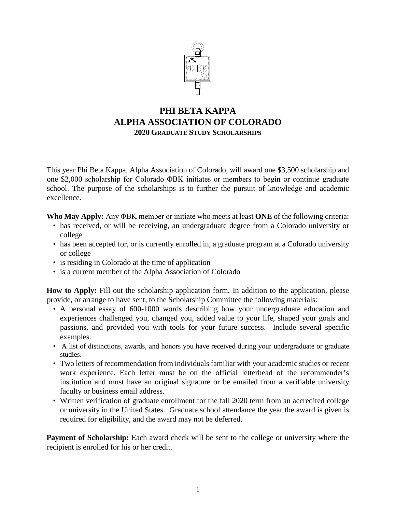

# **PHI BETA KAPPA ALPHA ASSOCIATION OF COLORADO 2020 GRADUATE STUDY SCHOLARSHIPS**

This year Phi Beta Kappa, Alpha Association of Colorado, will award one \$3,500 scholarship and one \$2,000 scholarship for Colorado ΦΒΚ initiates or members to begin or continue graduate school. The purpose of the scholarships is to further the pursuit of knowledge and academic excellence.

**Who May Apply:** Any ΦΒΚ member or initiate who meets at least **ONE** of the following criteria:

- has received, or will be receiving, an undergraduate degree from a Colorado university or college
- has been accepted for, or is currently enrolled in, a graduate program at a Colorado university or college
- is residing in Colorado at the time of application
- is a current member of the Alpha Association of Colorado

**How to Apply:** Fill out the scholarship application form. In addition to the application, please provide, or arrange to have sent, to the Scholarship Committee the following materials:

- A personal essay of 600-1000 words describing how your undergraduate education and experiences challenged you, changed you, added value to your life, shaped your goals and passions, and provided you with tools for your future success. Include several specific examples.
- A list of distinctions, awards, and honors you have received during your undergraduate or graduate studies.
- Two letters of recommendation from individuals familiar with your academic studies or recent work experience. Each letter must be on the official letterhead of the recommender's institution and must have an original signature or be emailed from a verifiable university faculty or business email address.
- Written verification of graduate enrollment for the fall 2020 term from an accredited college or university in the United States. Graduate school attendance the year the award is given is required for eligibility, and the award may not be deferred.

**Payment of Scholarship:** Each award check will be sent to the college or university where the recipient is enrolled for his or her credit.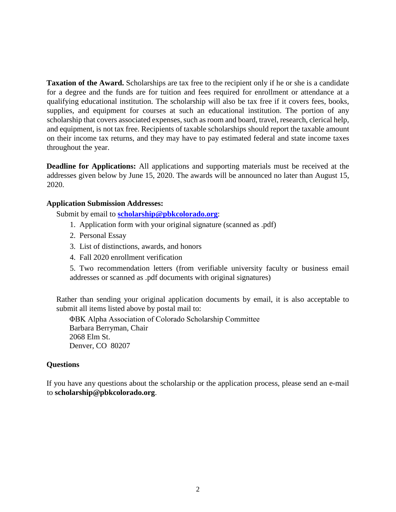**Taxation of the Award.** Scholarships are tax free to the recipient only if he or she is a candidate for a degree and the funds are for tuition and fees required for enrollment or attendance at a qualifying educational institution. The scholarship will also be tax free if it covers fees, books, supplies, and equipment for courses at such an educational institution. The portion of any scholarship that covers associated expenses, such as room and board, travel, research, clerical help, and equipment, is not tax free. Recipients of taxable scholarships should report the taxable amount on their income tax returns, and they may have to pay estimated federal and state income taxes throughout the year.

**Deadline for Applications:** All applications and supporting materials must be received at the addresses given below by June 15, 2020. The awards will be announced no later than August 15, 2020.

# **Application Submission Addresses:**

Submit by email to **[scholarship@pbkcolorado.org](mailto:scholarship@pbkcolorado.org)**:

- 1. Application form with your original signature (scanned as .pdf)
- 2. Personal Essay
- 3. List of distinctions, awards, and honors
- 4. Fall 2020 enrollment verification

5. Two recommendation letters (from verifiable university faculty or business email addresses or scanned as .pdf documents with original signatures)

Rather than sending your original application documents by email, it is also acceptable to submit all items listed above by postal mail to:

ΦΒΚ Alpha Association of Colorado Scholarship Committee Barbara Berryman, Chair 2068 Elm St. Denver, CO 80207

# **Questions**

If you have any questions about the scholarship or the application process, please send an e-mail to **scholarship@pbkcolorado.org**.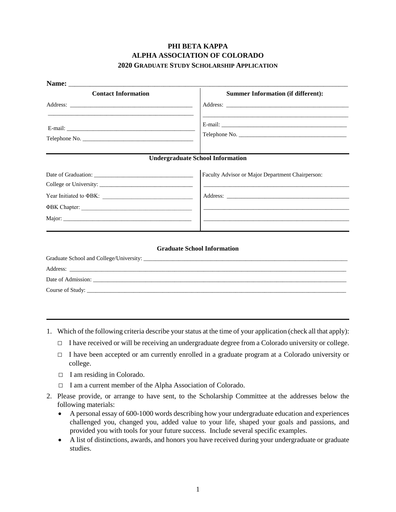# **PHI BETA KAPPA ALPHA ASSOCIATION OF COLORADO 2020 GRADUATE STUDY SCHOLARSHIP APPLICATION**

| <b>Contact Information</b> | <b>Summer Information (if different):</b>                                                                               |
|----------------------------|-------------------------------------------------------------------------------------------------------------------------|
|                            |                                                                                                                         |
|                            | <u> 1989 - Jan Samuel Barbara, margaret eta biztanleria (h. 1989).</u>                                                  |
|                            | <b>Undergraduate School Information</b>                                                                                 |
|                            | Faculty Advisor or Major Department Chairperson:                                                                        |
|                            | <u> 1989 - Johann John Stone, markin amerikan basal dan berkembang di banyak di banyak di banyak di banyak di banya</u> |
|                            |                                                                                                                         |
|                            |                                                                                                                         |
|                            |                                                                                                                         |
|                            |                                                                                                                         |

| Address:           |
|--------------------|
| Date of Admission: |
| Course of Study:   |

- 1. Which of the following criteria describe your status at the time of your application (check all that apply):
	- $\Box$  I have received or will be receiving an undergraduate degree from a Colorado university or college.
	- $\Box$  I have been accepted or am currently enrolled in a graduate program at a Colorado university or college.
	- $\Box$  I am residing in Colorado.
	- □ I am a current member of the Alpha Association of Colorado.
- 2. Please provide, or arrange to have sent, to the Scholarship Committee at the addresses below the following materials:
	- A personal essay of 600-1000 words describing how your undergraduate education and experiences challenged you, changed you, added value to your life, shaped your goals and passions, and provided you with tools for your future success. Include several specific examples.
	- A list of distinctions, awards, and honors you have received during your undergraduate or graduate studies.